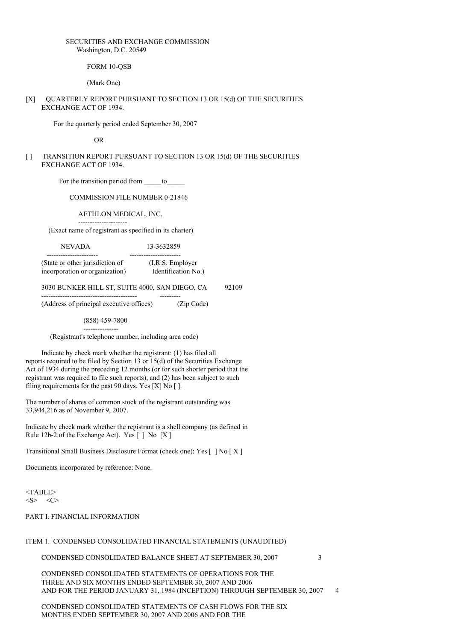### SECURITIES AND EXCHANGE COMMISSION Washington, D.C. 20549

FORM 10-QSB

(Mark One)

[X] QUARTERLY REPORT PURSUANT TO SECTION 13 OR 15(d) OF THE SECURITIES EXCHANGE ACT OF 1934.

For the quarterly period ended September 30, 2007

OR

[1] TRANSITION REPORT PURSUANT TO SECTION 13 OR 15(d) OF THE SECURITIES EXCHANGE ACT OF 1934.

For the transition period from \_\_\_\_\_to\_

COMMISSION FILE NUMBER 0-21846

AETHLON MEDICAL, INC.

(Exact name of registrant as specified in its charter)

NEVADA 13-3632859

---------------------

---------------------- ---------------------- (State or other jurisdiction of (I.R.S. Employer incorporation or organization) Identification No.)

3030 BUNKER HILL ST, SUITE 4000, SAN DIEGO, CA 92109

----------------------------------------- --------- (Address of principal executive offices) (Zip Code)

> (858) 459-7800 ---------------

(Registrant's telephone number, including area code)

Indicate by check mark whether the registrant: (1) has filed all reports required to be filed by Section 13 or 15(d) of the Securities Exchange Act of 1934 during the preceding 12 months (or for such shorter period that the registrant was required to file such reports), and (2) has been subject to such filing requirements for the past 90 days. Yes  $[X]$  No  $[$ ].

The number of shares of common stock of the registrant outstanding was 33,944,216 as of November 9, 2007.

Indicate by check mark whether the registrant is a shell company (as defined in Rule 12b-2 of the Exchange Act). Yes [ ] No [X ]

Transitional Small Business Disclosure Format (check one): Yes [ ] No [ X ]

Documents incorporated by reference: None.

 $<$ TABLE>  $\langle S \rangle$   $\langle C \rangle$ 

PART I. FINANCIAL INFORMATION

# ITEM 1. CONDENSED CONSOLIDATED FINANCIAL STATEMENTS (UNAUDITED)

CONDENSED CONSOLIDATED BALANCE SHEET AT SEPTEMBER 30, 2007 3

CONDENSED CONSOLIDATED STATEMENTS OF OPERATIONS FOR THE THREE AND SIX MONTHS ENDED SEPTEMBER 30, 2007 AND 2006 AND FOR THE PERIOD JANUARY 31, 1984 (INCEPTION) THROUGH SEPTEMBER 30, 2007 4

CONDENSED CONSOLIDATED STATEMENTS OF CASH FLOWS FOR THE SIX MONTHS ENDED SEPTEMBER 30, 2007 AND 2006 AND FOR THE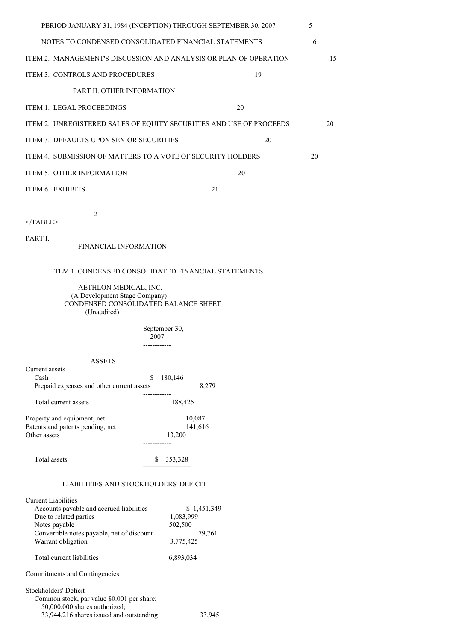| PERIOD JANUARY 31, 1984 (INCEPTION) THROUGH SEPTEMBER 30, 2007      |    | 5  |  |  |
|---------------------------------------------------------------------|----|----|--|--|
| NOTES TO CONDENSED CONSOLIDATED FINANCIAL STATEMENTS                |    |    |  |  |
| ITEM 2. MANAGEMENT'S DISCUSSION AND ANALYSIS OR PLAN OF OPERATION   |    | 15 |  |  |
| ITEM 3. CONTROLS AND PROCEDURES                                     | 19 |    |  |  |
| PART II. OTHER INFORMATION                                          |    |    |  |  |
| <b>ITEM 1. LEGAL PROCEEDINGS</b>                                    | 20 |    |  |  |
| ITEM 2. UNREGISTERED SALES OF EQUITY SECURITIES AND USE OF PROCEEDS |    | 20 |  |  |
| <b>ITEM 3. DEFAULTS UPON SENIOR SECURITIES</b>                      | 20 |    |  |  |
| <b>ITEM 4. SUBMISSION OF MATTERS TO A VOTE OF SECURITY HOLDERS</b>  |    | 20 |  |  |
| <b>ITEM 5. OTHER INFORMATION</b>                                    | 20 |    |  |  |
| <b>ITEM 6. EXHIBITS</b>                                             | 21 |    |  |  |
|                                                                     |    |    |  |  |

 $<$ /TABLE>

PART I.

FINANCIAL INFORMATION

2

# ITEM 1. CONDENSED CONSOLIDATED FINANCIAL STATEMENTS

AETHLON MEDICAL, INC. (A Development Stage Company) CONDENSED CONSOLIDATED BALANCE SHEET (Unaudited)

| September 30, |
|---------------|
| 2007          |
|               |

| <b>ASSETS</b>                                                                                                                                                                  |              |                                                            |
|--------------------------------------------------------------------------------------------------------------------------------------------------------------------------------|--------------|------------------------------------------------------------|
| Current assets<br>Cash<br>Prepaid expenses and other current assets                                                                                                            | \$           | 180,146<br>8,279                                           |
| Total current assets                                                                                                                                                           |              | 188,425                                                    |
| Property and equipment, net<br>Patents and patents pending, net<br>Other assets                                                                                                | . <u>.</u> . | 10,087<br>141,616<br>13,200                                |
| <b>Total assets</b>                                                                                                                                                            |              | \$353,328                                                  |
| LIABILITIES AND STOCKHOLDERS' DEFICIT                                                                                                                                          |              |                                                            |
| Current Liabilities<br>Accounts payable and accrued liabilities<br>Due to related parties<br>Notes payable<br>Convertible notes payable, net of discount<br>Warrant obligation |              | \$1,451,349<br>1,083,999<br>502,500<br>79,761<br>3,775,425 |
| Total current liabilities                                                                                                                                                      |              | 6,893,034                                                  |
| Commitments and Contingencies                                                                                                                                                  |              |                                                            |

| Stockholders' Deficit                      |        |
|--------------------------------------------|--------|
| Common stock, par value \$0.001 per share; |        |
| $50,000,000$ shares authorized;            |        |
| 33,944,216 shares issued and outstanding   | 33.945 |
|                                            |        |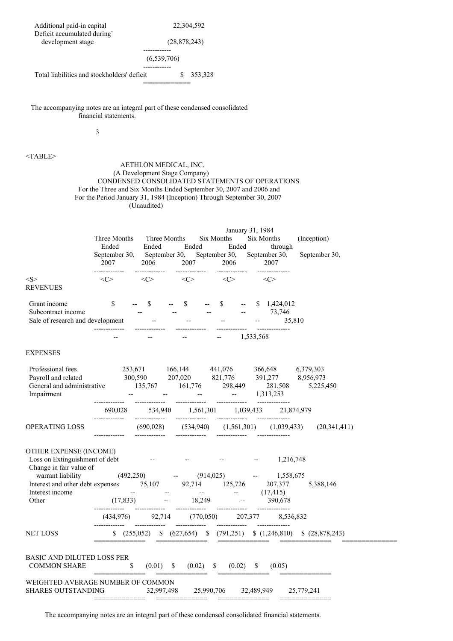| Additional paid-in capital                      | 22,304,592     |  |         |  |
|-------------------------------------------------|----------------|--|---------|--|
| Deficit accumulated during<br>development stage | (28, 878, 243) |  |         |  |
|                                                 | (6,539,706)    |  |         |  |
| Total liabilities and stockholders' deficit     |                |  | 353,328 |  |

The accompanying notes are an integral part of these condensed consolidated financial statements.

3

 $<$ TABLE>

# AETHLON MEDICAL, INC. (A Development Stage Company) CONDENSED CONSOLIDATED STATEMENTS OF OPERATIONS For the Three and Six Months Ended September 30, 2007 and 2006 and For the Period January 31, 1984 (Inception) Through September 30, 2007 (Unaudited)

|                                                                                                                                                                                                                                            | Three Months<br>Ended<br>2007<br>-------------               | Three Months<br>Ended<br>------------- | Ended<br>-------------                                      | January 31, 1984<br>Six Months<br>Ended<br>2006 2007 2006<br>------------- | Six Months<br>through<br>September 30, September 30, September 30, September 30,<br>2007 | (Inception)<br>September 30, |
|--------------------------------------------------------------------------------------------------------------------------------------------------------------------------------------------------------------------------------------------|--------------------------------------------------------------|----------------------------------------|-------------------------------------------------------------|----------------------------------------------------------------------------|------------------------------------------------------------------------------------------|------------------------------|
| $<\!\!S\!\!>$<br>REVENUES                                                                                                                                                                                                                  | $<\infty$                                                    |                                        | $\langle C \rangle$ $\langle C \rangle$ $\langle C \rangle$ |                                                                            | $\langle$ $\langle$ $\rangle$                                                            |                              |
| Grant income                                                                                                                                                                                                                               | $\mathbb{S}$                                                 | $--$ \$                                | $-$ \$ $-$ \$                                               |                                                                            | $-$ \$ 1,424,012<br>35,810                                                               |                              |
|                                                                                                                                                                                                                                            |                                                              | and the state of the state of          |                                                             |                                                                            | 1,533,568                                                                                |                              |
| <b>EXPENSES</b>                                                                                                                                                                                                                            |                                                              |                                        |                                                             |                                                                            |                                                                                          |                              |
| Professional fees 253,671 166,144 441,076 366,648 6,379,303                                                                                                                                                                                |                                                              |                                        |                                                             |                                                                            |                                                                                          |                              |
|                                                                                                                                                                                                                                            |                                                              |                                        |                                                             |                                                                            | 690,028 534,940 1,561,301 1,039,433 21,874,979                                           |                              |
| OPERATING LOSS                                                                                                                                                                                                                             |                                                              |                                        |                                                             |                                                                            |                                                                                          |                              |
| OTHER EXPENSE (INCOME)<br>Loss on Extinguishment of debt<br>Change in fair value of<br>warrant liability (492,250) -- (914,025) -- 1,558,675<br>Interest and other debt expenses 75,107 92,714 125,726 207,377<br>Interest income<br>Other | $(17,833)$ - - - - - (17,415)<br>(17,833) - 18,249 - 390,678 |                                        |                                                             |                                                                            | $     1,216,748$                                                                         | 5,388,146                    |
|                                                                                                                                                                                                                                            |                                                              |                                        |                                                             |                                                                            | $(434,976)$ $92,714$ $(770,050)$ $207,377$ $8,536,832$                                   |                              |
| NET LOSS                                                                                                                                                                                                                                   |                                                              |                                        |                                                             |                                                                            |                                                                                          |                              |
| BASIC AND DILUTED LOSS PER<br>COMMON SHARE                                                                                                                                                                                                 | $\mathbb{S}$                                                 |                                        |                                                             |                                                                            | $(0.01)$ \$ $(0.02)$ \$ $(0.02)$ \$ $(0.05)$                                             |                              |
| WEIGHTED AVERAGE NUMBER OF COMMON<br>SHARES OUTSTANDING 32,997,498 25,990,706 32,489,949 25,779,241                                                                                                                                        |                                                              |                                        |                                                             |                                                                            |                                                                                          |                              |

The accompanying notes are an integral part of these condensed consolidated financial statements.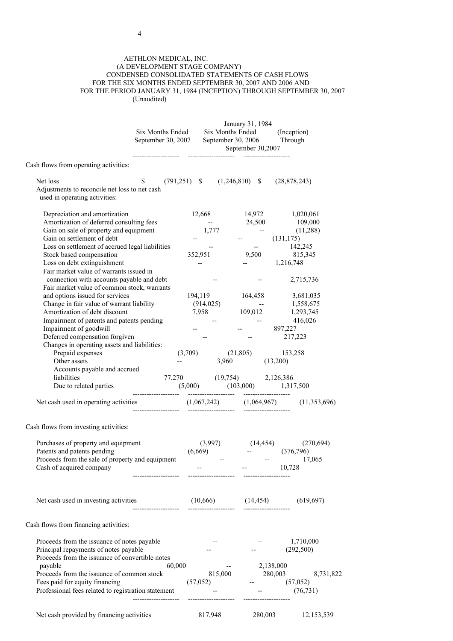# AETHLON MEDICAL, INC. (A DEVELOPMENT STAGE COMPANY) CONDENSED CONSOLIDATED STATEMENTS OF CASH FLOWS FOR THE SIX MONTHS ENDED SEPTEMBER 30, 2007 AND 2006 AND FOR THE PERIOD JANUARY 31, 1984 (INCEPTION) THROUGH SEPTEMBER 30, 2007 (Unaudited)

|                                                                                                                                                                                                                                                                                                                                                                                                                                                                                 | Six Months Ended<br>September 30, 2007 September 30, 2006 Through |                                                              | January 31, 1984<br>September 30,2007 | Six Months Ended (Inception)                                                                                                                                                                                                                                                                                                                                                                  |                        |
|---------------------------------------------------------------------------------------------------------------------------------------------------------------------------------------------------------------------------------------------------------------------------------------------------------------------------------------------------------------------------------------------------------------------------------------------------------------------------------|-------------------------------------------------------------------|--------------------------------------------------------------|---------------------------------------|-----------------------------------------------------------------------------------------------------------------------------------------------------------------------------------------------------------------------------------------------------------------------------------------------------------------------------------------------------------------------------------------------|------------------------|
| Cash flows from operating activities:                                                                                                                                                                                                                                                                                                                                                                                                                                           |                                                                   |                                                              |                                       |                                                                                                                                                                                                                                                                                                                                                                                               |                        |
| Net loss<br>Adjustments to reconcile net loss to net cash<br>used in operating activities:                                                                                                                                                                                                                                                                                                                                                                                      | $\mathbb{S}$                                                      |                                                              |                                       | $(791,251)$ \$ $(1,246,810)$ \$ $(28,878,243)$                                                                                                                                                                                                                                                                                                                                                |                        |
| Depreciation and amortization<br>Amortization of deferred consulting fees<br>Gain on sale of property and equipment<br>Gain on settlement of debt<br>Loss on settlement of accrued legal liabilities<br>Stock based compensation<br>Loss on debt extinguishment<br>Fair market value of warrants issued in                                                                                                                                                                      |                                                                   | and the company<br>$\frac{1}{2}$<br>$\overline{\phantom{a}}$ |                                       | 12,668 14,972 1,020,061<br>24,500 109,000<br>$1,777$ - $(11,288)$<br>(131,175)<br>$352,951$ $9,500$ $815,345$<br>$-1,216,748$                                                                                                                                                                                                                                                                 |                        |
| connection with accounts payable and debt<br>Fair market value of common stock, warrants<br>and options issued for services<br>Change in fair value of warrant liability<br>Amortization of debt discount<br>Impairment of patents and patents pending<br>Impairment of goodwill<br>Deferred compensation forgiven<br>Changes in operating assets and liabilities:<br>Prepaid expenses<br>Other assets<br>Accounts payable and accrued<br>liabilities<br>Due to related parties |                                                                   | (914, 025)                                                   |                                       | 2,715,736<br><b>ARCHITECT</b><br>194,119 164,458 3,681,035<br>$(914,025)$<br>$(914,025)$<br>$(109,012)$<br>$(1,558,675)$<br>$(109,012)$<br>$(1,293,745)$<br>$(16,025)$<br>$(1,293,745)$<br>$(16,025)$<br>$-217,223$<br>$(3,709) \qquad \qquad (21,805) \qquad \qquad 153,258$ -- $\qquad \qquad 3,960 \qquad \qquad (13,200)$<br>77,270 $(19,754)$ 2,126,386<br>(5,000) $(103,000)$ 1,317,500 |                        |
| Net cash used in operating activities                                                                                                                                                                                                                                                                                                                                                                                                                                           | --------------------                                              |                                                              |                                       | $(1,067,242)$ $(1,064,967)$ $(11,353,696)$                                                                                                                                                                                                                                                                                                                                                    |                        |
| Cash flows from investing activities:<br>Purchases of property and equipment<br>Patents and patents pending<br>Proceeds from the sale of property and equipment<br>Cash of acquired company                                                                                                                                                                                                                                                                                     |                                                                   | (3,997)<br>(6,669)<br>---------------------                  |                                       | (14, 454)<br>$ (376,796)$<br>10,728                                                                                                                                                                                                                                                                                                                                                           | (270, 694)<br>17,065   |
| Net cash used in investing activities                                                                                                                                                                                                                                                                                                                                                                                                                                           | --------------------                                              |                                                              |                                       | $(10,666)$ $(14,454)$ $(619,697)$                                                                                                                                                                                                                                                                                                                                                             |                        |
| Cash flows from financing activities:                                                                                                                                                                                                                                                                                                                                                                                                                                           |                                                                   |                                                              |                                       |                                                                                                                                                                                                                                                                                                                                                                                               |                        |
| Proceeds from the issuance of notes payable<br>Principal repayments of notes payable<br>Proceeds from the issuance of convertible notes<br>payable<br>Proceeds from the issuance of common stock<br>Fees paid for equity financing<br>Professional fees related to registration statement                                                                                                                                                                                       | 60,000                                                            | (57, 052)                                                    | 815,000 280,003                       | (292, 500)<br>2,138,000<br>(57,052)<br>(76, 731)                                                                                                                                                                                                                                                                                                                                              | 1,710,000<br>8,731,822 |

Net cash provided by financing activities 817,948 280,003 12,153,539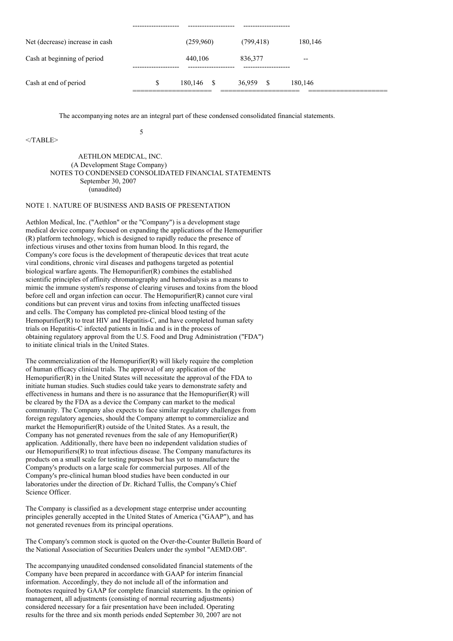|                                 | ---------------------  |                 |                                       |         |
|---------------------------------|------------------------|-----------------|---------------------------------------|---------|
| Net (decrease) increase in cash |                        | (259,960)       | (799.418)                             | 180.146 |
| Cash at beginning of period     |                        | 440.106         | 836.377                               | $- -$   |
| Cash at end of period           | S<br>_________________ | 180,146<br>- \$ | 36.959<br>- \$<br>___________________ | 180.146 |

The accompanying notes are an integral part of these condensed consolidated financial statements.

 $<$ /TABLE>

# AETHLON MEDICAL, INC. (A Development Stage Company) NOTES TO CONDENSED CONSOLIDATED FINANCIAL STATEMENTS September 30, 2007 (unaudited)

# NOTE 1. NATURE OF BUSINESS AND BASIS OF PRESENTATION

5

Aethlon Medical, Inc. ("Aethlon" or the "Company") is a development stage medical device company focused on expanding the applications of the Hemopurifier (R) platform technology, which is designed to rapidly reduce the presence of infectious viruses and other toxins from human blood. In this regard, the Company's core focus is the development of therapeutic devices that treat acute viral conditions, chronic viral diseases and pathogens targeted as potential biological warfare agents. The Hemopurifier(R) combines the established scientific principles of affinity chromatography and hemodialysis as a means to mimic the immune system's response of clearing viruses and toxins from the blood before cell and organ infection can occur. The Hemopurifier(R) cannot cure viral conditions but can prevent virus and toxins from infecting unaffected tissues and cells. The Company has completed pre-clinical blood testing of the Hemopurifier(R) to treat HIV and Hepatitis-C, and have completed human safety trials on Hepatitis-C infected patients in India and is in the process of obtaining regulatory approval from the U.S. Food and Drug Administration ("FDA") to initiate clinical trials in the United States.

The commercialization of the Hemopurifier(R) will likely require the completion of human efficacy clinical trials. The approval of any application of the Hemopurifier(R) in the United States will necessitate the approval of the FDA to initiate human studies. Such studies could take years to demonstrate safety and effectiveness in humans and there is no assurance that the Hemopurifier $(R)$  will be cleared by the FDA as a device the Company can market to the medical community. The Company also expects to face similar regulatory challenges from foreign regulatory agencies, should the Company attempt to commercialize and market the Hemopurifier(R) outside of the United States. As a result, the Company has not generated revenues from the sale of any Hemopurifier(R) application. Additionally, there have been no independent validation studies of our Hemopurifiers(R) to treat infectious disease. The Company manufactures its products on a small scale for testing purposes but has yet to manufacture the Company's products on a large scale for commercial purposes. All of the Company's pre-clinical human blood studies have been conducted in our laboratories under the direction of Dr. Richard Tullis, the Company's Chief Science Officer.

The Company is classified as a development stage enterprise under accounting principles generally accepted in the United States of America ("GAAP"), and has not generated revenues from its principal operations.

The Company's common stock is quoted on the Over-the-Counter Bulletin Board of the National Association of Securities Dealers under the symbol "AEMD.OB".

The accompanying unaudited condensed consolidated financial statements of the Company have been prepared in accordance with GAAP for interim financial information. Accordingly, they do not include all of the information and footnotes required by GAAP for complete financial statements. In the opinion of management, all adjustments (consisting of normal recurring adjustments) considered necessary for a fair presentation have been included. Operating results for the three and six month periods ended September 30, 2007 are not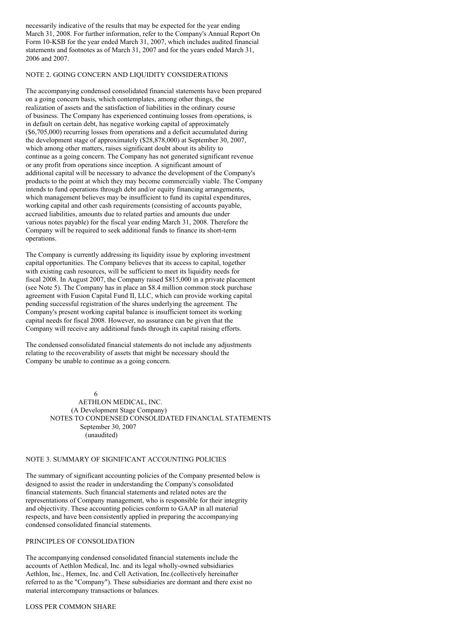necessarily indicative of the results that may be expected for the year ending March 31, 2008. For further information, refer to the Company's Annual Report On Form 10-KSB for the year ended March 31, 2007, which includes audited financial statements and footnotes as of March 31, 2007 and for the years ended March 31, 2006 and 2007.

### NOTE 2. GOING CONCERN AND LIQUIDITY CONSIDERATIONS

The accompanying condensed consolidated financial statements have been prepared on a going concern basis, which contemplates, among other things, the realization of assets and the satisfaction of liabilities in the ordinary course of business. The Company has experienced continuing losses from operations, is in default on certain debt, has negative working capital of approximately (\$6,705,000) recurring losses from operations and a deficit accumulated during the development stage of approximately (\$28,878,000) at September 30, 2007, which among other matters, raises significant doubt about its ability to continue as a going concern. The Company has not generated significant revenue or any profit from operations since inception. A significant amount of additional capital will be necessary to advance the development of the Company's products to the point at which they may become commercially viable. The Company intends to fund operations through debt and/or equity financing arrangements, which management believes may be insufficient to fund its capital expenditures, working capital and other cash requirements (consisting of accounts payable, accrued liabilities, amounts due to related parties and amounts due under various notes payable) for the fiscal year ending March 31, 2008. Therefore the Company will be required to seek additional funds to finance its short-term operations.

The Company is currently addressing its liquidity issue by exploring investment capital opportunities. The Company believes that its access to capital, together with existing cash resources, will be sufficient to meet its liquidity needs for fiscal 2008. In August 2007, the Company raised \$815,000 in a private placement (see Note 5). The Company has in place an \$8.4 million common stock purchase agreement with Fusion Capital Fund II, LLC, which can provide working capital pending successful registration of the shares underlying the agreement. The Company's present working capital balance is insufficient tomeet its working capital needs for fiscal 2008. However, no assurance can be given that the Company will receive any additional funds through its capital raising efforts.

The condensed consolidated financial statements do not include any adjustments relating to the recoverability of assets that might be necessary should the Company be unable to continue as a going concern.

> 6 AETHLON MEDICAL, INC. (A Development Stage Company) NOTES TO CONDENSED CONSOLIDATED FINANCIAL STATEMENTS September 30, 2007 (unaudited)

### NOTE 3. SUMMARY OF SIGNIFICANT ACCOUNTING POLICIES

The summary of significant accounting policies of the Company presented below is designed to assist the reader in understanding the Company's consolidated financial statements. Such financial statements and related notes are the representations of Company management, who is responsible for their integrity and objectivity. These accounting policies conform to GAAP in all material respects, and have been consistently applied in preparing the accompanying condensed consolidated financial statements.

### PRINCIPLES OF CONSOLIDATION

The accompanying condensed consolidated financial statements include the accounts of Aethlon Medical, Inc. and its legal wholly-owned subsidiaries Aethlon, Inc., Hemex, Inc. and Cell Activation, Inc.(collectively hereinafter referred to as the "Company"). These subsidiaries are dormant and there exist no material intercompany transactions or balances.

### LOSS PER COMMON SHARE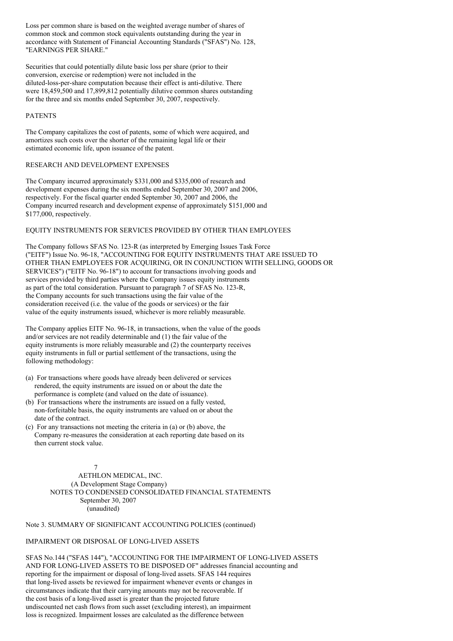Loss per common share is based on the weighted average number of shares of common stock and common stock equivalents outstanding during the year in accordance with Statement of Financial Accounting Standards ("SFAS") No. 128, "EARNINGS PER SHARE."

Securities that could potentially dilute basic loss per share (prior to their conversion, exercise or redemption) were not included in the diluted-loss-per-share computation because their effect is anti-dilutive. There were 18,459,500 and 17,899,812 potentially dilutive common shares outstanding for the three and six months ended September 30, 2007, respectively.

### PATENTS

The Company capitalizes the cost of patents, some of which were acquired, and amortizes such costs over the shorter of the remaining legal life or their estimated economic life, upon issuance of the patent.

# RESEARCH AND DEVELOPMENT EXPENSES

The Company incurred approximately \$331,000 and \$335,000 of research and development expenses during the six months ended September 30, 2007 and 2006, respectively. For the fiscal quarter ended September 30, 2007 and 2006, the Company incurred research and development expense of approximately \$151,000 and \$177,000, respectively.

# EQUITY INSTRUMENTS FOR SERVICES PROVIDED BY OTHER THAN EMPLOYEES

The Company follows SFAS No. 123-R (as interpreted by Emerging Issues Task Force ("EITF") Issue No. 96-18, "ACCOUNTING FOR EQUITY INSTRUMENTS THAT ARE ISSUED TO OTHER THAN EMPLOYEES FOR ACQUIRING, OR IN CONJUNCTION WITH SELLING, GOODS OR SERVICES") ("EITF No. 96-18") to account for transactions involving goods and services provided by third parties where the Company issues equity instruments as part of the total consideration. Pursuant to paragraph 7 of SFAS No. 123-R, the Company accounts for such transactions using the fair value of the consideration received (i.e. the value of the goods or services) or the fair value of the equity instruments issued, whichever is more reliably measurable.

The Company applies EITF No. 96-18, in transactions, when the value of the goods and/or services are not readily determinable and (1) the fair value of the equity instruments is more reliably measurable and (2) the counterparty receives equity instruments in full or partial settlement of the transactions, using the following methodology:

- (a) For transactions where goods have already been delivered or services rendered, the equity instruments are issued on or about the date the performance is complete (and valued on the date of issuance).
- (b) For transactions where the instruments are issued on a fully vested, non-forfeitable basis, the equity instruments are valued on or about the date of the contract.
- (c) For any transactions not meeting the criteria in (a) or (b) above, the Company re-measures the consideration at each reporting date based on its then current stock value.

7 AETHLON MEDICAL, INC. (A Development Stage Company) NOTES TO CONDENSED CONSOLIDATED FINANCIAL STATEMENTS September 30, 2007 (unaudited)

# Note 3. SUMMARY OF SIGNIFICANT ACCOUNTING POLICIES (continued)

# IMPAIRMENT OR DISPOSAL OF LONG-LIVED ASSETS

SFAS No.144 ("SFAS 144"), "ACCOUNTING FOR THE IMPAIRMENT OF LONG-LIVED ASSETS AND FOR LONG-LIVED ASSETS TO BE DISPOSED OF" addresses financial accounting and reporting for the impairment or disposal of long-lived assets. SFAS 144 requires that long-lived assets be reviewed for impairment whenever events or changes in circumstances indicate that their carrying amounts may not be recoverable. If the cost basis of a long-lived asset is greater than the projected future undiscounted net cash flows from such asset (excluding interest), an impairment loss is recognized. Impairment losses are calculated as the difference between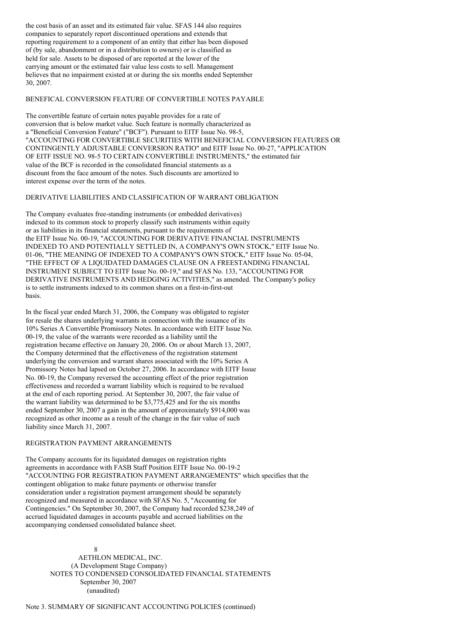the cost basis of an asset and its estimated fair value. SFAS 144 also requires companies to separately report discontinued operations and extends that reporting requirement to a component of an entity that either has been disposed of (by sale, abandonment or in a distribution to owners) or is classified as held for sale. Assets to be disposed of are reported at the lower of the carrying amount or the estimated fair value less costs to sell. Management believes that no impairment existed at or during the six months ended September 30, 2007.

# BENEFICAL CONVERSION FEATURE OF CONVERTIBLE NOTES PAYABLE

The convertible feature of certain notes payable provides for a rate of conversion that is below market value. Such feature is normally characterized as a "Beneficial Conversion Feature" ("BCF"). Pursuant to EITF Issue No. 98-5, "ACCOUNTING FOR CONVERTIBLE SECURITIES WITH BENEFICIAL CONVERSION FEATURES OR CONTINGENTLY ADJUSTABLE CONVERSION RATIO" and EITF Issue No. 00-27, "APPLICATION OF EITF ISSUE NO. 98-5 TO CERTAIN CONVERTIBLE INSTRUMENTS," the estimated fair value of the BCF is recorded in the consolidated financial statements as a discount from the face amount of the notes. Such discounts are amortized to interest expense over the term of the notes.

# DERIVATIVE LIABILITIES AND CLASSIFICATION OF WARRANT OBLIGATION

The Company evaluates free-standing instruments (or embedded derivatives) indexed to its common stock to properly classify such instruments within equity or as liabilities in its financial statements, pursuant to the requirements of the EITF Issue No. 00-19, "ACCOUNTING FOR DERIVATIVE FINANCIAL INSTRUMENTS INDEXED TO AND POTENTIALLY SETTLED IN, A COMPANY'S OWN STOCK," EITF Issue No. 01-06, "THE MEANING OF INDEXED TO A COMPANY'S OWN STOCK," EITF Issue No. 05-04, "THE EFFECT OF A LIQUIDATED DAMAGES CLAUSE ON A FREESTANDING FINANCIAL INSTRUMENT SUBJECT TO EITF Issue No. 00-19," and SFAS No. 133, "ACCOUNTING FOR DERIVATIVE INSTRUMENTS AND HEDGING ACTIVITIES," as amended. The Company's policy is to settle instruments indexed to its common shares on a first-in-first-out basis.

In the fiscal year ended March 31, 2006, the Company was obligated to register for resale the shares underlying warrants in connection with the issuance of its 10% Series A Convertible Promissory Notes. In accordance with EITF Issue No. 00-19, the value of the warrants were recorded as a liability until the registration became effective on January 20, 2006. On or about March 13, 2007, the Company determined that the effectiveness of the registration statement underlying the conversion and warrant shares associated with the 10% Series A Promissory Notes had lapsed on October 27, 2006. In accordance with EITF Issue No. 00-19, the Company reversed the accounting effect of the prior registration effectiveness and recorded a warrant liability which is required to be revalued at the end of each reporting period. At September 30, 2007, the fair value of the warrant liability was determined to be \$3,775,425 and for the six months ended September 30, 2007 a gain in the amount of approximately \$914,000 was recognized as other income as a result of the change in the fair value of such liability since March 31, 2007.

### REGISTRATION PAYMENT ARRANGEMENTS

The Company accounts for its liquidated damages on registration rights agreements in accordance with FASB Staff Position EITF Issue No. 00-19-2 "ACCOUNTING FOR REGISTRATION PAYMENT ARRANGEMENTS" which specifies that the contingent obligation to make future payments or otherwise transfer consideration under a registration payment arrangement should be separately recognized and measured in accordance with SFAS No. 5, "Accounting for Contingencies." On September 30, 2007, the Company had recorded \$238,249 of accrued liquidated damages in accounts payable and accrued liabilities on the accompanying condensed consolidated balance sheet.

8 AETHLON MEDICAL, INC. (A Development Stage Company) NOTES TO CONDENSED CONSOLIDATED FINANCIAL STATEMENTS September 30, 2007 (unaudited)

Note 3. SUMMARY OF SIGNIFICANT ACCOUNTING POLICIES (continued)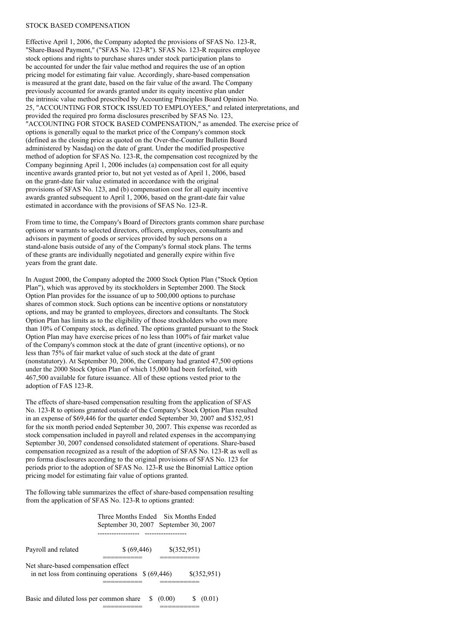### STOCK BASED COMPENSATION

Effective April 1, 2006, the Company adopted the provisions of SFAS No. 123-R, "Share-Based Payment," ("SFAS No. 123-R"). SFAS No. 123-R requires employee stock options and rights to purchase shares under stock participation plans to be accounted for under the fair value method and requires the use of an option pricing model for estimating fair value. Accordingly, share-based compensation is measured at the grant date, based on the fair value of the award. The Company previously accounted for awards granted under its equity incentive plan under the intrinsic value method prescribed by Accounting Principles Board Opinion No. 25, "ACCOUNTING FOR STOCK ISSUED TO EMPLOYEES," and related interpretations, and provided the required pro forma disclosures prescribed by SFAS No. 123, "ACCOUNTING FOR STOCK BASED COMPENSATION," as amended. The exercise price of options is generally equal to the market price of the Company's common stock (defined as the closing price as quoted on the Over-the-Counter Bulletin Board administered by Nasdaq) on the date of grant. Under the modified prospective method of adoption for SFAS No. 123-R, the compensation cost recognized by the Company beginning April 1, 2006 includes (a) compensation cost for all equity incentive awards granted prior to, but not yet vested as of April 1, 2006, based on the grant-date fair value estimated in accordance with the original provisions of SFAS No. 123, and (b) compensation cost for all equity incentive awards granted subsequent to April 1, 2006, based on the grant-date fair value estimated in accordance with the provisions of SFAS No. 123-R.

From time to time, the Company's Board of Directors grants common share purchase options or warrants to selected directors, officers, employees, consultants and advisors in payment of goods or services provided by such persons on a stand-alone basis outside of any of the Company's formal stock plans. The terms of these grants are individually negotiated and generally expire within five years from the grant date.

In August 2000, the Company adopted the 2000 Stock Option Plan ("Stock Option Plan"), which was approved by its stockholders in September 2000. The Stock Option Plan provides for the issuance of up to 500,000 options to purchase shares of common stock. Such options can be incentive options or nonstatutory options, and may be granted to employees, directors and consultants. The Stock Option Plan has limits as to the eligibility of those stockholders who own more than 10% of Company stock, as defined. The options granted pursuant to the Stock Option Plan may have exercise prices of no less than 100% of fair market value of the Company's common stock at the date of grant (incentive options), or no less than 75% of fair market value of such stock at the date of grant (nonstatutory). At September 30, 2006, the Company had granted 47,500 options under the 2000 Stock Option Plan of which 15,000 had been forfeited, with 467,500 available for future issuance. All of these options vested prior to the adoption of FAS 123-R.

The effects of share-based compensation resulting from the application of SFAS No. 123-R to options granted outside of the Company's Stock Option Plan resulted in an expense of \$69,446 for the quarter ended September 30, 2007 and \$352,951 for the six month period ended September 30, 2007. This expense was recorded as stock compensation included in payroll and related expenses in the accompanying September 30, 2007 condensed consolidated statement of operations. Share-based compensation recognized as a result of the adoption of SFAS No. 123-R as well as pro forma disclosures according to the original provisions of SFAS No. 123 for periods prior to the adoption of SFAS No. 123-R use the Binomial Lattice option pricing model for estimating fair value of options granted.

The following table summarizes the effect of share-based compensation resulting from the application of SFAS No. 123-R to options granted:

|                                                                                             | Three Months Ended Six Months Ended<br>September 30, 2007 September 30, 2007 |                  |
|---------------------------------------------------------------------------------------------|------------------------------------------------------------------------------|------------------|
| Payroll and related                                                                         | \$(69,446)                                                                   | \$(352,951)      |
| Net share-based compensation effect<br>in net loss from continuing operations $\$ (69,446)$ |                                                                              | $$$ (352,951)    |
| Basic and diluted loss per common share                                                     | S.                                                                           | (0.01)<br>(0.00) |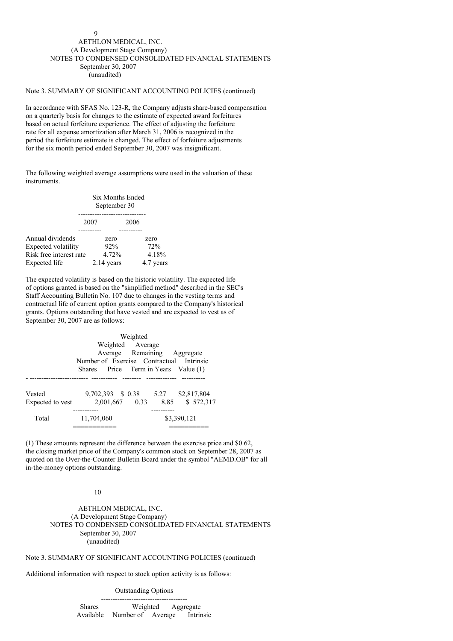# $\overline{Q}$ AETHLON MEDICAL, INC. (A Development Stage Company) NOTES TO CONDENSED CONSOLIDATED FINANCIAL STATEMENTS September 30, 2007 (unaudited)

### Note 3. SUMMARY OF SIGNIFICANT ACCOUNTING POLICIES (continued)

In accordance with SFAS No. 123-R, the Company adjusts share-based compensation on a quarterly basis for changes to the estimate of expected award forfeitures based on actual forfeiture experience. The effect of adjusting the forfeiture rate for all expense amortization after March 31, 2006 is recognized in the period the forfeiture estimate is changed. The effect of forfeiture adjustments for the six month period ended September 30, 2007 was insignificant.

The following weighted average assumptions were used in the valuation of these instruments.

|                         | Six Months Ended<br>September 30 |      |           |  |  |  |
|-------------------------|----------------------------------|------|-----------|--|--|--|
|                         | 2007                             | 2006 |           |  |  |  |
|                         |                                  |      |           |  |  |  |
| Annual dividends        | zero                             |      | zero      |  |  |  |
| Expected volatility     | 92%                              |      | 72%       |  |  |  |
| Risk free interest rate | 4.72%                            |      | 4.18%     |  |  |  |
| Expected life           | 2.14 years                       |      | 4.7 years |  |  |  |

The expected volatility is based on the historic volatility. The expected life of options granted is based on the "simplified method" described in the SEC's Staff Accounting Bulletin No. 107 due to changes in the vesting terms and contractual life of current option grants compared to the Company's historical grants. Options outstanding that have vested and are expected to vest as of September 30, 2007 are as follows:

|                            | Weighted<br>Weighted Average<br>Average Remaining Aggregate                      |  |         |                          |  |  |  |
|----------------------------|----------------------------------------------------------------------------------|--|---------|--------------------------|--|--|--|
|                            | Number of Exercise Contractual Intrinsic<br>Shares Price Term in Years Value (1) |  |         |                          |  |  |  |
| Vested<br>Expected to vest | 9,702,393 \$ 0.38<br>2,001,667 0.33 8.85                                         |  | 5.27    | \$2,817,804<br>\$572,317 |  |  |  |
| Total                      | ---------<br>11,704,060                                                          |  | ------- | \$3,390,121              |  |  |  |

(1) These amounts represent the difference between the exercise price and \$0.62, the closing market price of the Company's common stock on September 28, 2007 as quoted on the Over-the-Counter Bulletin Board under the symbol "AEMD.OB" for all in-the-money options outstanding.

### 10

AETHLON MEDICAL, INC. (A Development Stage Company) NOTES TO CONDENSED CONSOLIDATED FINANCIAL STATEMENTS September 30, 2007 (unaudited)

Note 3. SUMMARY OF SIGNIFICANT ACCOUNTING POLICIES (continued)

Additional information with respect to stock option activity is as follows:

Outstanding Options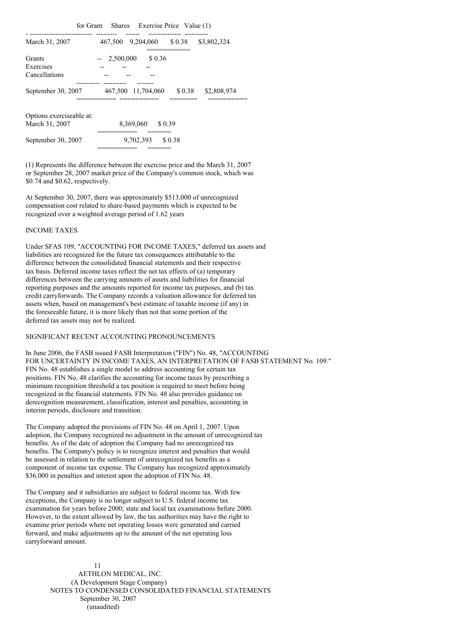|                                             |           | for Grant Shares Exercise Price Value (1) |        |             |
|---------------------------------------------|-----------|-------------------------------------------|--------|-------------|
| March 31, 2007                              |           | 467,500 9,204,060                         | \$0.38 | \$3,802,324 |
| <b>Grants</b><br>Exercises<br>Cancellations | 2,500,000 | \$0.36                                    |        |             |
| September 30, 2007                          |           | 467,500 11,704,060                        | \$0.38 | \$2,808,974 |
| Options exerciseable at:<br>March 31, 2007  |           | 8,369,060                                 | \$0.39 |             |
| September 30, 2007                          |           | 9,702,393                                 | \$0.38 |             |

(1) Represents the difference between the exercise price and the March 31, 2007 or September 28, 2007 market price of the Company's common stock, which was \$0.74 and \$0.62, respectively.

At September 30, 2007, there was approximately \$513,000 of unrecognized compensation cost related to share-based payments which is expected to be recognized over a weighted average period of 1.62 years

# INCOME TAXES

Under SFAS 109, "ACCOUNTING FOR INCOME TAXES," deferred tax assets and liabilities are recognized for the future tax consequences attributable to the difference between the consolidated financial statements and their respective tax basis. Deferred income taxes reflect the net tax effects of (a) temporary differences between the carrying amounts of assets and liabilities for financial reporting purposes and the amounts reported for income tax purposes, and (b) tax credit carryforwards. The Company records a valuation allowance for deferred tax assets when, based on management's best estimate of taxable income (if any) in the foreseeable future, it is more likely than not that some portion of the deferred tax assets may not be realized.

# SIGNIFICANT RECENT ACCOUNTING PRONOUNCEMENTS

In June 2006, the FASB issued FASB Interpretation ("FIN") No. 48, "ACCOUNTING FOR UNCERTAINTY IN INCOME TAXES, AN INTERPRETATION OF FASB STATEMENT No. 109." FIN No. 48 establishes a single model to address accounting for certain tax positions. FIN No. 48 clarifies the accounting for income taxes by prescribing a minimum recognition threshold a tax position is required to meet before being recognized in the financial statements. FIN No. 48 also provides guidance on derecognition measurement, classification, interest and penalties, accounting in interim periods, disclosure and transition.

The Company adopted the provisions of FIN No. 48 on April 1, 2007. Upon adoption, the Company recognized no adjustment in the amount of unrecognized tax benefits. As of the date of adoption the Company had no unrecognized tax benefits. The Company's policy is to recognize interest and penalties that would be assessed in relation to the settlement of unrecognized tax benefits as a component of income tax expense. The Company has recognized approximately \$36,000 in penalties and interest upon the adoption of FIN No. 48.

The Company and it subsidiaries are subject to federal income tax. With few exceptions, the Company is no longer subject to U.S. federal income tax examination for years before 2000; state and local tax examinations before 2000. However, to the extent allowed by law, the tax authorities may have the right to examine prior periods where net operating losses were generated and carried forward, and make adjustments up to the amount of the net operating loss carryforward amount.

> 11 AETHLON MEDICAL, INC. (A Development Stage Company) NOTES TO CONDENSED CONSOLIDATED FINANCIAL STATEMENTS September 30, 2007 (unaudited)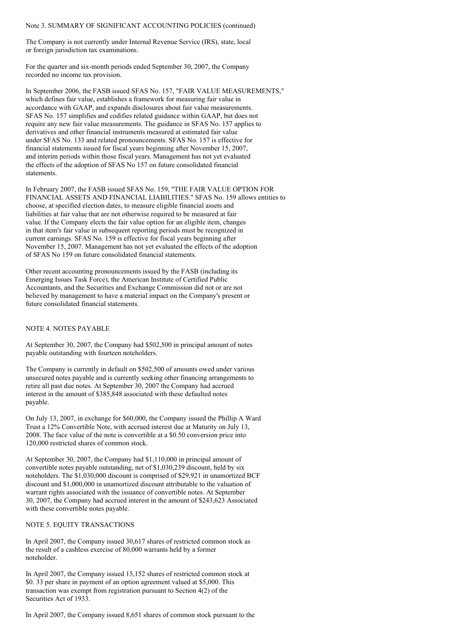Note 3. SUMMARY OF SIGNIFICANT ACCOUNTING POLICIES (continued)

The Company is not currently under Internal Revenue Service (IRS), state, local or foreign jurisdiction tax examinations.

For the quarter and six-month periods ended September 30, 2007, the Company recorded no income tax provision.

In September 2006, the FASB issued SFAS No. 157, "FAIR VALUE MEASUREMENTS," which defines fair value, establishes a framework for measuring fair value in accordance with GAAP, and expands disclosures about fair value measurements. SFAS No. 157 simplifies and codifies related guidance within GAAP, but does not require any new fair value measurements. The guidance in SFAS No. 157 applies to derivatives and other financial instruments measured at estimated fair value under SFAS No. 133 and related pronouncements. SFAS No. 157 is effective for financial statements issued for fiscal years beginning after November 15, 2007, and interim periods within those fiscal years. Management has not yet evaluated the effects of the adoption of SFAS No 157 on future consolidated financial statements.

In February 2007, the FASB issued SFAS No. 159, "THE FAIR VALUE OPTION FOR FINANCIAL ASSETS AND FINANCIAL LIABILITIES." SFAS No. 159 allows entities to choose, at specified election dates, to measure eligible financial assets and liabilities at fair value that are not otherwise required to be measured at fair value. If the Company elects the fair value option for an eligible item, changes in that item's fair value in subsequent reporting periods must be recognized in current earnings. SFAS No. 159 is effective for fiscal years beginning after November 15, 2007. Management has not yet evaluated the effects of the adoption of SFAS No 159 on future consolidated financial statements.

Other recent accounting pronouncements issued by the FASB (including its Emerging Issues Task Force), the American Institute of Certified Public Accountants, and the Securities and Exchange Commission did not or are not believed by management to have a material impact on the Company's present or future consolidated financial statements.

# NOTE 4. NOTES PAYABLE

At September 30, 2007, the Company had \$502,500 in principal amount of notes payable outstanding with fourteen noteholders.

The Company is currently in default on \$502,500 of amounts owed under various unsecured notes payable and is currently seeking other financing arrangements to retire all past due notes. At September 30, 2007 the Company had accrued interest in the amount of \$385,848 associated with these defaulted notes payable.

On July 13, 2007, in exchange for \$60,000, the Company issued the Phillip A Ward Trust a 12% Convertible Note, with accrued interest due at Maturity on July 13, 2008. The face value of the note is convertible at a \$0.50 conversion price into 120,000 restricted shares of common stock.

At September 30, 2007, the Company had \$1,110,000 in principal amount of convertible notes payable outstanding, net of \$1,030,239 discount, held by six noteholders. The \$1,030,000 discount is comprised of \$29,921 in unamortized BCF discount and \$1,000,000 in unamortized discount attributable to the valuation of warrant rights associated with the issuance of convertible notes. At September 30, 2007, the Company had accrued interest in the amount of \$243,623 Associated with these convertible notes payable.

# NOTE 5. EQUITY TRANSACTIONS

In April 2007, the Company issued 30,617 shares of restricted common stock as the result of a cashless exercise of 80,000 warrants held by a former noteholder.

In April 2007, the Company issued 15,152 shares of restricted common stock at \$0. 33 per share in payment of an option agreement valued at \$5,000. This transaction was exempt from registration pursuant to Section 4(2) of the Securities Act of 1933.

In April 2007, the Company issued 8,651 shares of common stock pursuant to the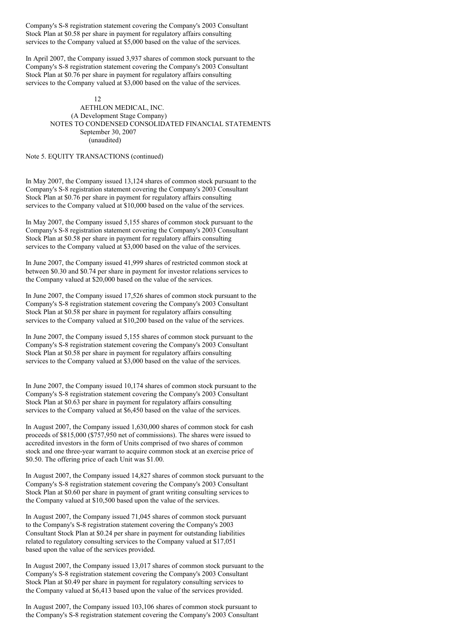Company's S-8 registration statement covering the Company's 2003 Consultant Stock Plan at \$0.58 per share in payment for regulatory affairs consulting services to the Company valued at \$5,000 based on the value of the services.

In April 2007, the Company issued 3,937 shares of common stock pursuant to the Company's S-8 registration statement covering the Company's 2003 Consultant Stock Plan at \$0.76 per share in payment for regulatory affairs consulting services to the Company valued at \$3,000 based on the value of the services.

> 12 AETHLON MEDICAL, INC. (A Development Stage Company) NOTES TO CONDENSED CONSOLIDATED FINANCIAL STATEMENTS September 30, 2007 (unaudited)

Note 5. EQUITY TRANSACTIONS (continued)

In May 2007, the Company issued 13,124 shares of common stock pursuant to the Company's S-8 registration statement covering the Company's 2003 Consultant Stock Plan at \$0.76 per share in payment for regulatory affairs consulting services to the Company valued at \$10,000 based on the value of the services.

In May 2007, the Company issued 5,155 shares of common stock pursuant to the Company's S-8 registration statement covering the Company's 2003 Consultant Stock Plan at \$0.58 per share in payment for regulatory affairs consulting services to the Company valued at \$3,000 based on the value of the services.

In June 2007, the Company issued 41,999 shares of restricted common stock at between \$0.30 and \$0.74 per share in payment for investor relations services to the Company valued at \$20,000 based on the value of the services.

In June 2007, the Company issued 17,526 shares of common stock pursuant to the Company's S-8 registration statement covering the Company's 2003 Consultant Stock Plan at \$0.58 per share in payment for regulatory affairs consulting services to the Company valued at \$10,200 based on the value of the services.

In June 2007, the Company issued 5,155 shares of common stock pursuant to the Company's S-8 registration statement covering the Company's 2003 Consultant Stock Plan at \$0.58 per share in payment for regulatory affairs consulting services to the Company valued at \$3,000 based on the value of the services.

In June 2007, the Company issued 10,174 shares of common stock pursuant to the Company's S-8 registration statement covering the Company's 2003 Consultant Stock Plan at \$0.63 per share in payment for regulatory affairs consulting services to the Company valued at \$6,450 based on the value of the services.

In August 2007, the Company issued 1,630,000 shares of common stock for cash proceeds of \$815,000 (\$757,950 net of commissions). The shares were issued to accredited investors in the form of Units comprised of two shares of common stock and one three-year warrant to acquire common stock at an exercise price of \$0.50. The offering price of each Unit was \$1.00.

In August 2007, the Company issued 14,827 shares of common stock pursuant to the Company's S-8 registration statement covering the Company's 2003 Consultant Stock Plan at \$0.60 per share in payment of grant writing consulting services to the Company valued at \$10,500 based upon the value of the services.

In August 2007, the Company issued 71,045 shares of common stock pursuant to the Company's S-8 registration statement covering the Company's 2003 Consultant Stock Plan at \$0.24 per share in payment for outstanding liabilities related to regulatory consulting services to the Company valued at \$17,051 based upon the value of the services provided.

In August 2007, the Company issued 13,017 shares of common stock pursuant to the Company's S-8 registration statement covering the Company's 2003 Consultant Stock Plan at \$0.49 per share in payment for regulatory consulting services to the Company valued at \$6,413 based upon the value of the services provided.

In August 2007, the Company issued 103,106 shares of common stock pursuant to the Company's S-8 registration statement covering the Company's 2003 Consultant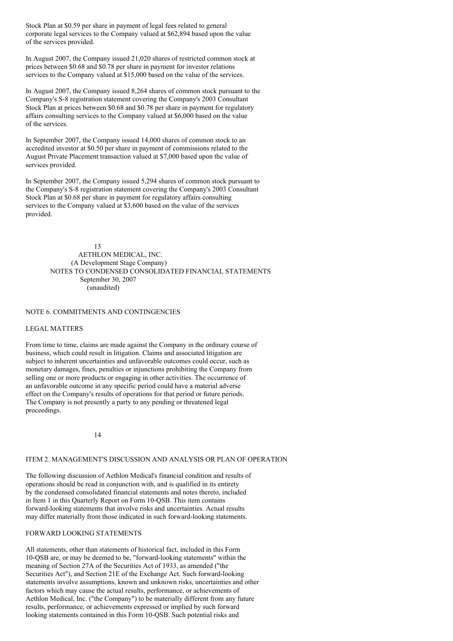Stock Plan at \$0.59 per share in payment of legal fees related to general corporate legal services to the Company valued at \$62,894 based upon the value of the services provided.

In August 2007, the Company issued 21,020 shares of restricted common stock at prices between \$0.68 and \$0.78 per share in payment for investor relations services to the Company valued at \$15,000 based on the value of the services.

In August 2007, the Company issued 8,264 shares of common stock pursuant to the Company's S-8 registration statement covering the Company's 2003 Consultant Stock Plan at prices between \$0.68 and \$0.78 per share in payment for regulatory affairs consulting services to the Company valued at \$6,000 based on the value of the services.

In September 2007, the Company issued 14,000 shares of common stock to an accredited investor at \$0.50 per share in payment of commissions related to the August Private Placement transaction valued at \$7,000 based upon the value of services provided.

In September 2007, the Company issued 5,294 shares of common stock pursuant to the Company's S-8 registration statement covering the Company's 2003 Consultant Stock Plan at \$0.68 per share in payment for regulatory affairs consulting services to the Company valued at \$3,600 based on the value of the services provided.

> 13 AETHLON MEDICAL, INC. (A Development Stage Company) NOTES TO CONDENSED CONSOLIDATED FINANCIAL STATEMENTS September 30, 2007 (unaudited)

# NOTE 6. COMMITMENTS AND CONTINGENCIES

### LEGAL MATTERS

From time to time, claims are made against the Company in the ordinary course of business, which could result in litigation. Claims and associated litigation are subject to inherent uncertainties and unfavorable outcomes could occur, such as monetary damages, fines, penalties or injunctions prohibiting the Company from selling one or more products or engaging in other activities. The occurrence of an unfavorable outcome in any specific period could have a material adverse effect on the Company's results of operations for that period or future periods. The Company is not presently a party to any pending or threatened legal proceedings.

14

# ITEM 2. MANAGEMENT'S DISCUSSION AND ANALYSIS OR PLAN OF OPERATION

The following discussion of Aethlon Medical's financial condition and results of operations should be read in conjunction with, and is qualified in its entirety by the condensed consolidated financial statements and notes thereto, included in Item 1 in this Quarterly Report on Form 10-QSB. This item contains forward-looking statements that involve risks and uncertainties. Actual results may differ materially from those indicated in such forward-looking statements.

# FORWARD LOOKING STATEMENTS

All statements, other than statements of historical fact, included in this Form 10-QSB are, or may be deemed to be, "forward-looking statements" within the meaning of Section 27A of the Securities Act of 1933, as amended ("the Securities Act"), and Section 21E of the Exchange Act. Such forward-looking statements involve assumptions, known and unknown risks, uncertainties and other factors which may cause the actual results, performance, or achievements of Aethlon Medical, Inc. ("the Company") to be materially different from any future results, performance, or achievements expressed or implied by such forward looking statements contained in this Form 10-QSB. Such potential risks and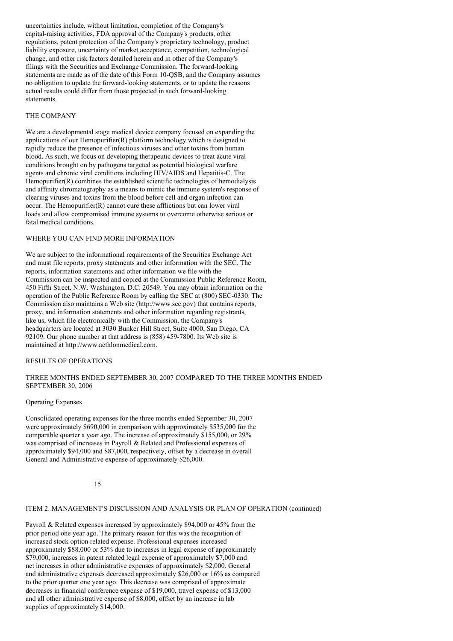uncertainties include, without limitation, completion of the Company's capital-raising activities, FDA approval of the Company's products, other regulations, patent protection of the Company's proprietary technology, product liability exposure, uncertainty of market acceptance, competition, technological change, and other risk factors detailed herein and in other of the Company's filings with the Securities and Exchange Commission. The forward-looking statements are made as of the date of this Form 10-QSB, and the Company assumes no obligation to update the forward-looking statements, or to update the reasons actual results could differ from those projected in such forward-looking statements.

### THE COMPANY

We are a developmental stage medical device company focused on expanding the applications of our Hemopurifier(R) platform technology which is designed to rapidly reduce the presence of infectious viruses and other toxins from human blood. As such, we focus on developing therapeutic devices to treat acute viral conditions brought on by pathogens targeted as potential biological warfare agents and chronic viral conditions including HIV/AIDS and Hepatitis-C. The Hemopurifier(R) combines the established scientific technologies of hemodialysis and affinity chromatography as a means to mimic the immune system's response of clearing viruses and toxins from the blood before cell and organ infection can occur. The Hemopurifier(R) cannot cure these afflictions but can lower viral loads and allow compromised immune systems to overcome otherwise serious or fatal medical conditions.

# WHERE YOU CAN FIND MORE INFORMATION

We are subject to the informational requirements of the Securities Exchange Act and must file reports, proxy statements and other information with the SEC. The reports, information statements and other information we file with the Commission can be inspected and copied at the Commission Public Reference Room, 450 Fifth Street, N.W. Washington, D.C. 20549. You may obtain information on the operation of the Public Reference Room by calling the SEC at (800) SEC-0330. The Commission also maintains a Web site (http://www.sec.gov) that contains reports, proxy, and information statements and other information regarding registrants, like us, which file electronically with the Commission. the Company's headquarters are located at 3030 Bunker Hill Street, Suite 4000, San Diego, CA 92109. Our phone number at that address is (858) 459-7800. Its Web site is maintained at http://www.aethlonmedical.com.

### RESULTS OF OPERATIONS

# THREE MONTHS ENDED SEPTEMBER 30, 2007 COMPARED TO THE THREE MONTHS ENDED SEPTEMBER 30, 2006

#### Operating Expenses

Consolidated operating expenses for the three months ended September 30, 2007 were approximately \$690,000 in comparison with approximately \$535,000 for the comparable quarter a year ago. The increase of approximately \$155,000, or 29% was comprised of increases in Payroll & Related and Professional expenses of approximately \$94,000 and \$87,000, respectively, offset by a decrease in overall General and Administrative expense of approximately \$26,000.

15

# ITEM 2. MANAGEMENT'S DISCUSSION AND ANALYSIS OR PLAN OF OPERATION (continued)

Payroll & Related expenses increased by approximately \$94,000 or 45% from the prior period one year ago. The primary reason for this was the recognition of increased stock option related expense. Professional expenses increased approximately \$88,000 or 53% due to increases in legal expense of approximately \$79,000, increases in patent related legal expense of approximately \$7,000 and net increases in other administrative expenses of approximately \$2,000. General and administrative expenses decreased approximately \$26,000 or 16% as compared to the prior quarter one year ago. This decrease was comprised of approximate decreases in financial conference expense of \$19,000, travel expense of \$13,000 and all other administrative expense of \$8,000, offset by an increase in lab supplies of approximately \$14,000.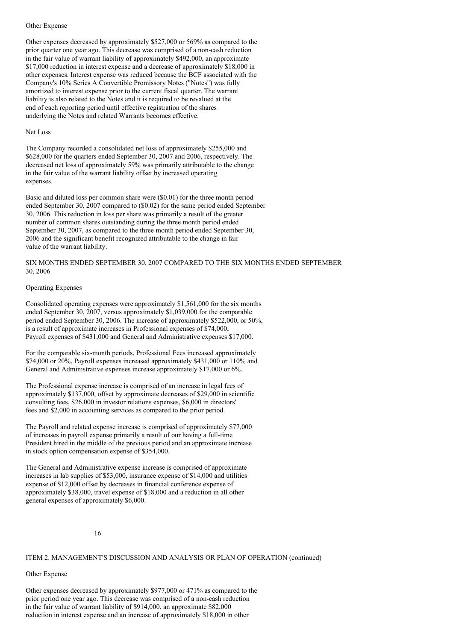### Other Expense

Other expenses decreased by approximately \$527,000 or 569% as compared to the prior quarter one year ago. This decrease was comprised of a non-cash reduction in the fair value of warrant liability of approximately \$492,000, an approximate \$17,000 reduction in interest expense and a decrease of approximately \$18,000 in other expenses. Interest expense was reduced because the BCF associated with the Company's 10% Series A Convertible Promissory Notes ("Notes") was fully amortized to interest expense prior to the current fiscal quarter. The warrant liability is also related to the Notes and it is required to be revalued at the end of each reporting period until effective registration of the shares underlying the Notes and related Warrants becomes effective.

### Net Loss

The Company recorded a consolidated net loss of approximately \$255,000 and \$628,000 for the quarters ended September 30, 2007 and 2006, respectively. The decreased net loss of approximately 59% was primarily attributable to the change in the fair value of the warrant liability offset by increased operating expenses.

Basic and diluted loss per common share were (\$0.01) for the three month period ended September 30, 2007 compared to (\$0.02) for the same period ended September 30, 2006. This reduction in loss per share was primarily a result of the greater number of common shares outstanding during the three month period ended September 30, 2007, as compared to the three month period ended September 30, 2006 and the significant benefit recognized attributable to the change in fair value of the warrant liability.

SIX MONTHS ENDED SEPTEMBER 30, 2007 COMPARED TO THE SIX MONTHS ENDED SEPTEMBER 30, 2006

### Operating Expenses

Consolidated operating expenses were approximately \$1,561,000 for the six months ended September 30, 2007, versus approximately \$1,039,000 for the comparable period ended September 30, 2006. The increase of approximately \$522,000, or 50%, is a result of approximate increases in Professional expenses of \$74,000, Payroll expenses of \$431,000 and General and Administrative expenses \$17,000.

For the comparable six-month periods, Professional Fees increased approximately \$74,000 or 20%, Payroll expenses increased approximately \$431,000 or 110% and General and Administrative expenses increase approximately \$17,000 or 6%.

The Professional expense increase is comprised of an increase in legal fees of approximately \$137,000, offset by approximate decreases of \$29,000 in scientific consulting fees, \$26,000 in investor relations expenses, \$6,000 in directors' fees and \$2,000 in accounting services as compared to the prior period.

The Payroll and related expense increase is comprised of approximately \$77,000 of increases in payroll expense primarily a result of our having a full-time President hired in the middle of the previous period and an approximate increase in stock option compensation expense of \$354,000.

The General and Administrative expense increase is comprised of approximate increases in lab supplies of \$53,000, insurance expense of \$14,000 and utilities expense of \$12,000 offset by decreases in financial conference expense of approximately \$38,000, travel expense of \$18,000 and a reduction in all other general expenses of approximately \$6,000.

# 16

# ITEM 2. MANAGEMENT'S DISCUSSION AND ANALYSIS OR PLAN OF OPERATION (continued)

# Other Expense

Other expenses decreased by approximately \$977,000 or 471% as compared to the prior period one year ago. This decrease was comprised of a non-cash reduction in the fair value of warrant liability of \$914,000, an approximate \$82,000 reduction in interest expense and an increase of approximately \$18,000 in other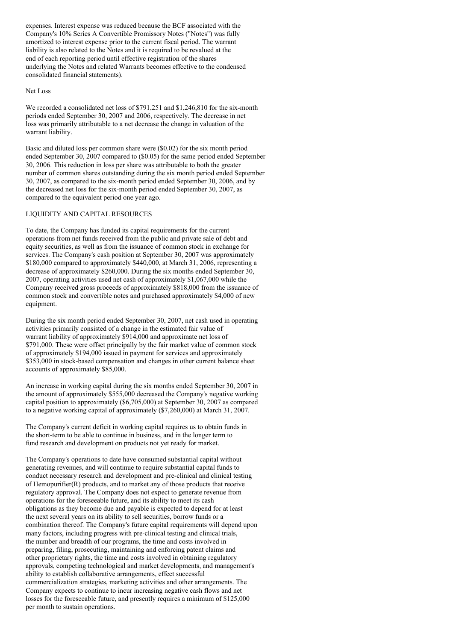expenses. Interest expense was reduced because the BCF associated with the Company's 10% Series A Convertible Promissory Notes ("Notes") was fully amortized to interest expense prior to the current fiscal period. The warrant liability is also related to the Notes and it is required to be revalued at the end of each reporting period until effective registration of the shares underlying the Notes and related Warrants becomes effective to the condensed consolidated financial statements).

### Net Loss

We recorded a consolidated net loss of \$791,251 and \$1,246,810 for the six-month periods ended September 30, 2007 and 2006, respectively. The decrease in net loss was primarily attributable to a net decrease the change in valuation of the warrant liability.

Basic and diluted loss per common share were (\$0.02) for the six month period ended September 30, 2007 compared to (\$0.05) for the same period ended September 30, 2006. This reduction in loss per share was attributable to both the greater number of common shares outstanding during the six month period ended September 30, 2007, as compared to the six-month period ended September 30, 2006, and by the decreased net loss for the six-month period ended September 30, 2007, as compared to the equivalent period one year ago.

# LIQUIDITY AND CAPITAL RESOURCES

To date, the Company has funded its capital requirements for the current operations from net funds received from the public and private sale of debt and equity securities, as well as from the issuance of common stock in exchange for services. The Company's cash position at September 30, 2007 was approximately \$180,000 compared to approximately \$440,000, at March 31, 2006, representing a decrease of approximately \$260,000. During the six months ended September 30, 2007, operating activities used net cash of approximately \$1,067,000 while the Company received gross proceeds of approximately \$818,000 from the issuance of common stock and convertible notes and purchased approximately \$4,000 of new equipment.

During the six month period ended September 30, 2007, net cash used in operating activities primarily consisted of a change in the estimated fair value of warrant liability of approximately \$914,000 and approximate net loss of \$791,000. These were offset principally by the fair market value of common stock of approximately \$194,000 issued in payment for services and approximately \$353,000 in stock-based compensation and changes in other current balance sheet accounts of approximately \$85,000.

An increase in working capital during the six months ended September 30, 2007 in the amount of approximately \$555,000 decreased the Company's negative working capital position to approximately (\$6,705,000) at September 30, 2007 as compared to a negative working capital of approximately (\$7,260,000) at March 31, 2007.

The Company's current deficit in working capital requires us to obtain funds in the short-term to be able to continue in business, and in the longer term to fund research and development on products not yet ready for market.

The Company's operations to date have consumed substantial capital without generating revenues, and will continue to require substantial capital funds to conduct necessary research and development and pre-clinical and clinical testing of Hemopurifier(R) products, and to market any of those products that receive regulatory approval. The Company does not expect to generate revenue from operations for the foreseeable future, and its ability to meet its cash obligations as they become due and payable is expected to depend for at least the next several years on its ability to sell securities, borrow funds or a combination thereof. The Company's future capital requirements will depend upon many factors, including progress with pre-clinical testing and clinical trials, the number and breadth of our programs, the time and costs involved in preparing, filing, prosecuting, maintaining and enforcing patent claims and other proprietary rights, the time and costs involved in obtaining regulatory approvals, competing technological and market developments, and management's ability to establish collaborative arrangements, effect successful commercialization strategies, marketing activities and other arrangements. The Company expects to continue to incur increasing negative cash flows and net losses for the foreseeable future, and presently requires a minimum of \$125,000 per month to sustain operations.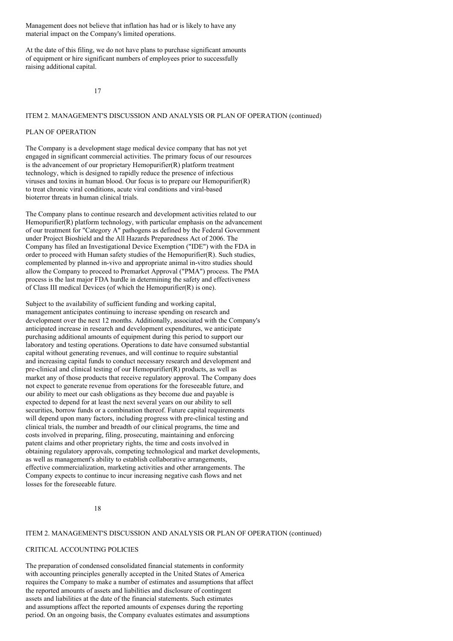Management does not believe that inflation has had or is likely to have any material impact on the Company's limited operations.

At the date of this filing, we do not have plans to purchase significant amounts of equipment or hire significant numbers of employees prior to successfully raising additional capital.

17

### ITEM 2. MANAGEMENT'S DISCUSSION AND ANALYSIS OR PLAN OF OPERATION (continued)

### PLAN OF OPERATION

The Company is a development stage medical device company that has not yet engaged in significant commercial activities. The primary focus of our resources is the advancement of our proprietary Hemopurifier(R) platform treatment technology, which is designed to rapidly reduce the presence of infectious viruses and toxins in human blood. Our focus is to prepare our Hemopurifier(R) to treat chronic viral conditions, acute viral conditions and viral-based bioterror threats in human clinical trials.

The Company plans to continue research and development activities related to our Hemopurifier $(R)$  platform technology, with particular emphasis on the advancement of our treatment for "Category A" pathogens as defined by the Federal Government under Project Bioshield and the All Hazards Preparedness Act of 2006. The Company has filed an Investigational Device Exemption ("IDE") with the FDA in order to proceed with Human safety studies of the Hemopurifier(R). Such studies, complemented by planned in-vivo and appropriate animal in-vitro studies should allow the Company to proceed to Premarket Approval ("PMA") process. The PMA process is the last major FDA hurdle in determining the safety and effectiveness of Class III medical Devices (of which the Hemopurifier(R) is one).

Subject to the availability of sufficient funding and working capital, management anticipates continuing to increase spending on research and development over the next 12 months. Additionally, associated with the Company's anticipated increase in research and development expenditures, we anticipate purchasing additional amounts of equipment during this period to support our laboratory and testing operations. Operations to date have consumed substantial capital without generating revenues, and will continue to require substantial and increasing capital funds to conduct necessary research and development and pre-clinical and clinical testing of our Hemopurifier(R) products, as well as market any of those products that receive regulatory approval. The Company does not expect to generate revenue from operations for the foreseeable future, and our ability to meet our cash obligations as they become due and payable is expected to depend for at least the next several years on our ability to sell securities, borrow funds or a combination thereof. Future capital requirements will depend upon many factors, including progress with pre-clinical testing and clinical trials, the number and breadth of our clinical programs, the time and costs involved in preparing, filing, prosecuting, maintaining and enforcing patent claims and other proprietary rights, the time and costs involved in obtaining regulatory approvals, competing technological and market developments, as well as management's ability to establish collaborative arrangements, effective commercialization, marketing activities and other arrangements. The Company expects to continue to incur increasing negative cash flows and net losses for the foreseeable future.

18

# ITEM 2. MANAGEMENT'S DISCUSSION AND ANALYSIS OR PLAN OF OPERATION (continued)

#### CRITICAL ACCOUNTING POLICIES

The preparation of condensed consolidated financial statements in conformity with accounting principles generally accepted in the United States of America requires the Company to make a number of estimates and assumptions that affect the reported amounts of assets and liabilities and disclosure of contingent assets and liabilities at the date of the financial statements. Such estimates and assumptions affect the reported amounts of expenses during the reporting period. On an ongoing basis, the Company evaluates estimates and assumptions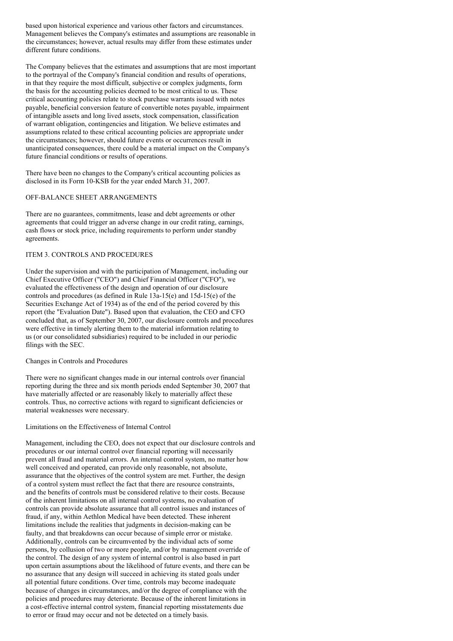based upon historical experience and various other factors and circumstances. Management believes the Company's estimates and assumptions are reasonable in the circumstances; however, actual results may differ from these estimates under different future conditions.

The Company believes that the estimates and assumptions that are most important to the portrayal of the Company's financial condition and results of operations, in that they require the most difficult, subjective or complex judgments, form the basis for the accounting policies deemed to be most critical to us. These critical accounting policies relate to stock purchase warrants issued with notes payable, beneficial conversion feature of convertible notes payable, impairment of intangible assets and long lived assets, stock compensation, classification of warrant obligation, contingencies and litigation. We believe estimates and assumptions related to these critical accounting policies are appropriate under the circumstances; however, should future events or occurrences result in unanticipated consequences, there could be a material impact on the Company's future financial conditions or results of operations.

There have been no changes to the Company's critical accounting policies as disclosed in its Form 10-KSB for the year ended March 31, 2007.

# OFF-BALANCE SHEET ARRANGEMENTS

There are no guarantees, commitments, lease and debt agreements or other agreements that could trigger an adverse change in our credit rating, earnings, cash flows or stock price, including requirements to perform under standby agreements.

# ITEM 3. CONTROLS AND PROCEDURES

Under the supervision and with the participation of Management, including our Chief Executive Officer ("CEO") and Chief Financial Officer ("CFO"), we evaluated the effectiveness of the design and operation of our disclosure controls and procedures (as defined in Rule 13a-15(e) and 15d-15(e) of the Securities Exchange Act of 1934) as of the end of the period covered by this report (the "Evaluation Date"). Based upon that evaluation, the CEO and CFO concluded that, as of September 30, 2007, our disclosure controls and procedures were effective in timely alerting them to the material information relating to us (or our consolidated subsidiaries) required to be included in our periodic filings with the SEC.

# Changes in Controls and Procedures

There were no significant changes made in our internal controls over financial reporting during the three and six month periods ended September 30, 2007 that have materially affected or are reasonably likely to materially affect these controls. Thus, no corrective actions with regard to significant deficiencies or material weaknesses were necessary.

### Limitations on the Effectiveness of Internal Control

Management, including the CEO, does not expect that our disclosure controls and procedures or our internal control over financial reporting will necessarily prevent all fraud and material errors. An internal control system, no matter how well conceived and operated, can provide only reasonable, not absolute, assurance that the objectives of the control system are met. Further, the design of a control system must reflect the fact that there are resource constraints, and the benefits of controls must be considered relative to their costs. Because of the inherent limitations on all internal control systems, no evaluation of controls can provide absolute assurance that all control issues and instances of fraud, if any, within Aethlon Medical have been detected. These inherent limitations include the realities that judgments in decision-making can be faulty, and that breakdowns can occur because of simple error or mistake. Additionally, controls can be circumvented by the individual acts of some persons, by collusion of two or more people, and/or by management override of the control. The design of any system of internal control is also based in part upon certain assumptions about the likelihood of future events, and there can be no assurance that any design will succeed in achieving its stated goals under all potential future conditions. Over time, controls may become inadequate because of changes in circumstances, and/or the degree of compliance with the policies and procedures may deteriorate. Because of the inherent limitations in a cost-effective internal control system, financial reporting misstatements due to error or fraud may occur and not be detected on a timely basis.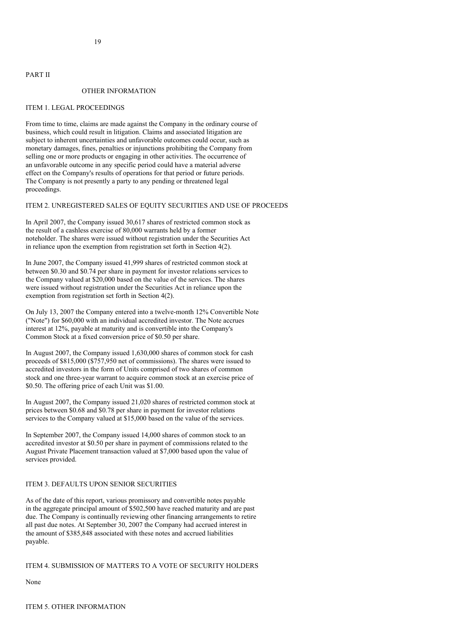### PART II

#### OTHER INFORMATION

### ITEM 1. LEGAL PROCEEDINGS

From time to time, claims are made against the Company in the ordinary course of business, which could result in litigation. Claims and associated litigation are subject to inherent uncertainties and unfavorable outcomes could occur, such as monetary damages, fines, penalties or injunctions prohibiting the Company from selling one or more products or engaging in other activities. The occurrence of an unfavorable outcome in any specific period could have a material adverse effect on the Company's results of operations for that period or future periods. The Company is not presently a party to any pending or threatened legal proceedings.

# ITEM 2. UNREGISTERED SALES OF EQUITY SECURITIES AND USE OF PROCEEDS

In April 2007, the Company issued 30,617 shares of restricted common stock as the result of a cashless exercise of 80,000 warrants held by a former noteholder. The shares were issued without registration under the Securities Act in reliance upon the exemption from registration set forth in Section 4(2).

In June 2007, the Company issued 41,999 shares of restricted common stock at between \$0.30 and \$0.74 per share in payment for investor relations services to the Company valued at \$20,000 based on the value of the services. The shares were issued without registration under the Securities Act in reliance upon the exemption from registration set forth in Section 4(2).

On July 13, 2007 the Company entered into a twelve-month 12% Convertible Note ("Note") for \$60,000 with an individual accredited investor. The Note accrues interest at 12%, payable at maturity and is convertible into the Company's Common Stock at a fixed conversion price of \$0.50 per share.

In August 2007, the Company issued 1,630,000 shares of common stock for cash proceeds of \$815,000 (\$757,950 net of commissions). The shares were issued to accredited investors in the form of Units comprised of two shares of common stock and one three-year warrant to acquire common stock at an exercise price of \$0.50. The offering price of each Unit was \$1.00.

In August 2007, the Company issued 21,020 shares of restricted common stock at prices between \$0.68 and \$0.78 per share in payment for investor relations services to the Company valued at \$15,000 based on the value of the services.

In September 2007, the Company issued 14,000 shares of common stock to an accredited investor at \$0.50 per share in payment of commissions related to the August Private Placement transaction valued at \$7,000 based upon the value of services provided.

### ITEM 3. DEFAULTS UPON SENIOR SECURITIES

As of the date of this report, various promissory and convertible notes payable in the aggregate principal amount of \$502,500 have reached maturity and are past due. The Company is continually reviewing other financing arrangements to retire all past due notes. At September 30, 2007 the Company had accrued interest in the amount of \$385,848 associated with these notes and accrued liabilities payable.

### ITEM 4. SUBMISSION OF MATTERS TO A VOTE OF SECURITY HOLDERS

None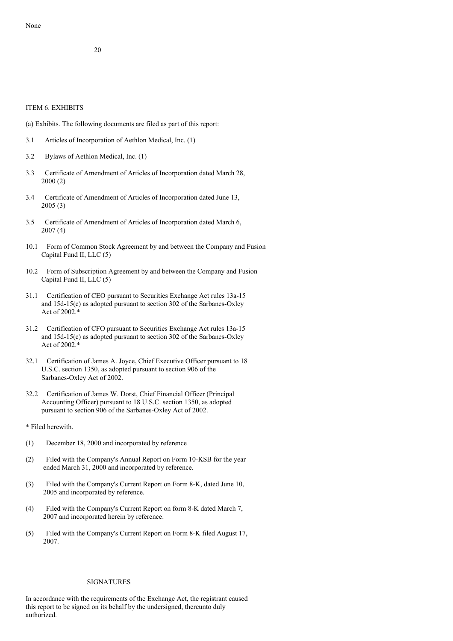20

# ITEM 6. EXHIBITS

(a) Exhibits. The following documents are filed as part of this report:

- 3.1 Articles of Incorporation of Aethlon Medical, Inc. (1)
- 3.2 Bylaws of Aethlon Medical, Inc. (1)
- 3.3 Certificate of Amendment of Articles of Incorporation dated March 28, 2000 (2)
- 3.4 Certificate of Amendment of Articles of Incorporation dated June 13, 2005 (3)
- 3.5 Certificate of Amendment of Articles of Incorporation dated March 6, 2007 (4)
- 10.1 Form of Common Stock Agreement by and between the Company and Fusion Capital Fund II, LLC (5)
- 10.2 Form of Subscription Agreement by and between the Company and Fusion Capital Fund II, LLC (5)
- 31.1 Certification of CEO pursuant to Securities Exchange Act rules 13a-15 and 15d-15(c) as adopted pursuant to section 302 of the Sarbanes-Oxley Act of 2002.\*
- 31.2 Certification of CFO pursuant to Securities Exchange Act rules 13a-15 and 15d-15(c) as adopted pursuant to section 302 of the Sarbanes-Oxley Act of 2002.\*
- 32.1 Certification of James A. Joyce, Chief Executive Officer pursuant to 18 U.S.C. section 1350, as adopted pursuant to section 906 of the Sarbanes-Oxley Act of 2002.
- 32.2 Certification of James W. Dorst, Chief Financial Officer (Principal Accounting Officer) pursuant to 18 U.S.C. section 1350, as adopted pursuant to section 906 of the Sarbanes-Oxley Act of 2002.
- \* Filed herewith.
- (1) December 18, 2000 and incorporated by reference
- (2) Filed with the Company's Annual Report on Form 10-KSB for the year ended March 31, 2000 and incorporated by reference.
- (3) Filed with the Company's Current Report on Form 8-K, dated June 10, 2005 and incorporated by reference.
- (4) Filed with the Company's Current Report on form 8-K dated March 7, 2007 and incorporated herein by reference.
- (5) Filed with the Company's Current Report on Form 8-K filed August 17, 2007.

#### SIGNATURES

In accordance with the requirements of the Exchange Act, the registrant caused this report to be signed on its behalf by the undersigned, thereunto duly authorized.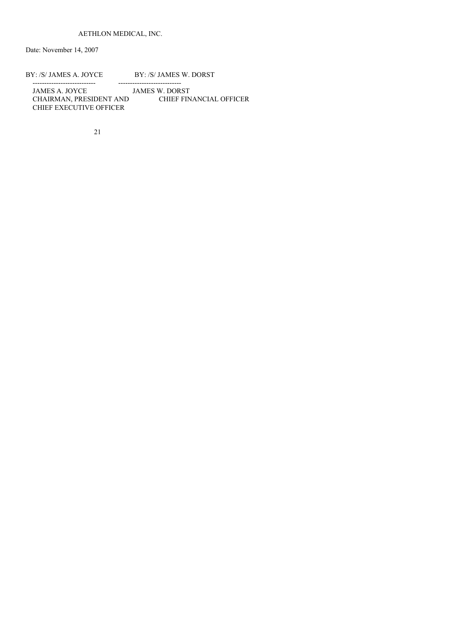Date: November 14, 2007

# BY: /S/ JAMES A. JOYCE BY: /S/ JAMES W. DORST

--------------------------- --------------------------- JAMES A. JOYCE JAMES W. DORST CHAIRMAN, PRESIDENT AND CHIEF FINANCIAL OFFICER CHIEF EXECUTIVE OFFICER

21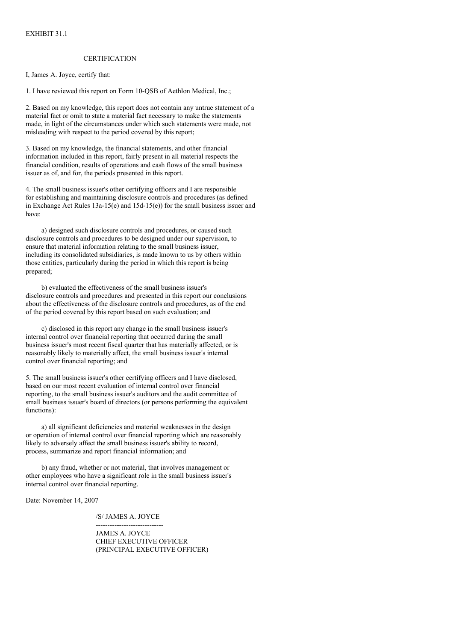### **CERTIFICATION**

I, James A. Joyce, certify that:

1. I have reviewed this report on Form 10-QSB of Aethlon Medical, Inc.;

2. Based on my knowledge, this report does not contain any untrue statement of a material fact or omit to state a material fact necessary to make the statements made, in light of the circumstances under which such statements were made, not misleading with respect to the period covered by this report;

3. Based on my knowledge, the financial statements, and other financial information included in this report, fairly present in all material respects the financial condition, results of operations and cash flows of the small business issuer as of, and for, the periods presented in this report.

4. The small business issuer's other certifying officers and I are responsible for establishing and maintaining disclosure controls and procedures (as defined in Exchange Act Rules 13a-15(e) and 15d-15(e)) for the small business issuer and have:

a) designed such disclosure controls and procedures, or caused such disclosure controls and procedures to be designed under our supervision, to ensure that material information relating to the small business issuer, including its consolidated subsidiaries, is made known to us by others within those entities, particularly during the period in which this report is being prepared;

b) evaluated the effectiveness of the small business issuer's disclosure controls and procedures and presented in this report our conclusions about the effectiveness of the disclosure controls and procedures, as of the end of the period covered by this report based on such evaluation; and

c) disclosed in this report any change in the small business issuer's internal control over financial reporting that occurred during the small business issuer's most recent fiscal quarter that has materially affected, or is reasonably likely to materially affect, the small business issuer's internal control over financial reporting; and

5. The small business issuer's other certifying officers and I have disclosed, based on our most recent evaluation of internal control over financial reporting, to the small business issuer's auditors and the audit committee of small business issuer's board of directors (or persons performing the equivalent functions):

a) all significant deficiencies and material weaknesses in the design or operation of internal control over financial reporting which are reasonably likely to adversely affect the small business issuer's ability to record, process, summarize and report financial information; and

b) any fraud, whether or not material, that involves management or other employees who have a significant role in the small business issuer's internal control over financial reporting.

Date: November 14, 2007

/S/ JAMES A. JOYCE

----------------------------- JAMES A. JOYCE CHIEF EXECUTIVE OFFICER (PRINCIPAL EXECUTIVE OFFICER)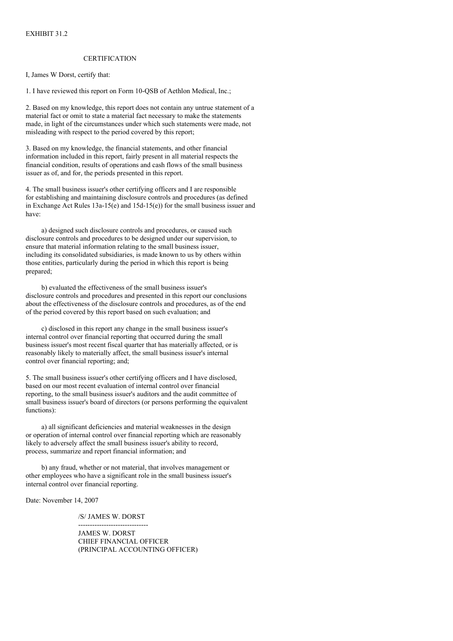### **CERTIFICATION**

I, James W Dorst, certify that:

1. I have reviewed this report on Form 10-QSB of Aethlon Medical, Inc.;

2. Based on my knowledge, this report does not contain any untrue statement of a material fact or omit to state a material fact necessary to make the statements made, in light of the circumstances under which such statements were made, not misleading with respect to the period covered by this report;

3. Based on my knowledge, the financial statements, and other financial information included in this report, fairly present in all material respects the financial condition, results of operations and cash flows of the small business issuer as of, and for, the periods presented in this report.

4. The small business issuer's other certifying officers and I are responsible for establishing and maintaining disclosure controls and procedures (as defined in Exchange Act Rules 13a-15(e) and 15d-15(e)) for the small business issuer and have:

a) designed such disclosure controls and procedures, or caused such disclosure controls and procedures to be designed under our supervision, to ensure that material information relating to the small business issuer, including its consolidated subsidiaries, is made known to us by others within those entities, particularly during the period in which this report is being prepared;

b) evaluated the effectiveness of the small business issuer's disclosure controls and procedures and presented in this report our conclusions about the effectiveness of the disclosure controls and procedures, as of the end of the period covered by this report based on such evaluation; and

c) disclosed in this report any change in the small business issuer's internal control over financial reporting that occurred during the small business issuer's most recent fiscal quarter that has materially affected, or is reasonably likely to materially affect, the small business issuer's internal control over financial reporting; and;

5. The small business issuer's other certifying officers and I have disclosed, based on our most recent evaluation of internal control over financial reporting, to the small business issuer's auditors and the audit committee of small business issuer's board of directors (or persons performing the equivalent functions):

a) all significant deficiencies and material weaknesses in the design or operation of internal control over financial reporting which are reasonably likely to adversely affect the small business issuer's ability to record, process, summarize and report financial information; and

b) any fraud, whether or not material, that involves management or other employees who have a significant role in the small business issuer's internal control over financial reporting.

Date: November 14, 2007

/S/ JAMES W. DORST

------------------------------ JAMES W. DORST CHIEF FINANCIAL OFFICER (PRINCIPAL ACCOUNTING OFFICER)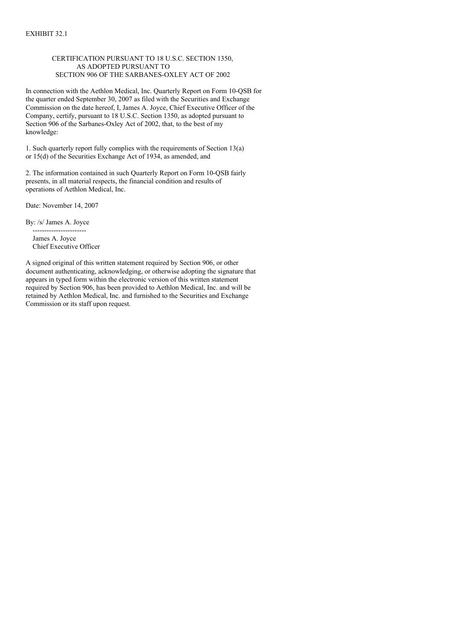# CERTIFICATION PURSUANT TO 18 U.S.C. SECTION 1350, AS ADOPTED PURSUANT TO SECTION 906 OF THE SARBANES-OXLEY ACT OF 2002

In connection with the Aethlon Medical, Inc. Quarterly Report on Form 10-QSB for the quarter ended September 30, 2007 as filed with the Securities and Exchange Commission on the date hereof, I, James A. Joyce, Chief Executive Officer of the Company, certify, pursuant to 18 U.S.C. Section 1350, as adopted pursuant to Section 906 of the Sarbanes-Oxley Act of 2002, that, to the best of my knowledge:

1. Such quarterly report fully complies with the requirements of Section 13(a) or 15(d) of the Securities Exchange Act of 1934, as amended, and

2. The information contained in such Quarterly Report on Form 10-QSB fairly presents, in all material respects, the financial condition and results of operations of Aethlon Medical, Inc.

Date: November 14, 2007

By: /s/ James A. Joyce

----------------------- James A. Joyce Chief Executive Officer

A signed original of this written statement required by Section 906, or other document authenticating, acknowledging, or otherwise adopting the signature that appears in typed form within the electronic version of this written statement required by Section 906, has been provided to Aethlon Medical, Inc. and will be retained by Aethlon Medical, Inc. and furnished to the Securities and Exchange Commission or its staff upon request.